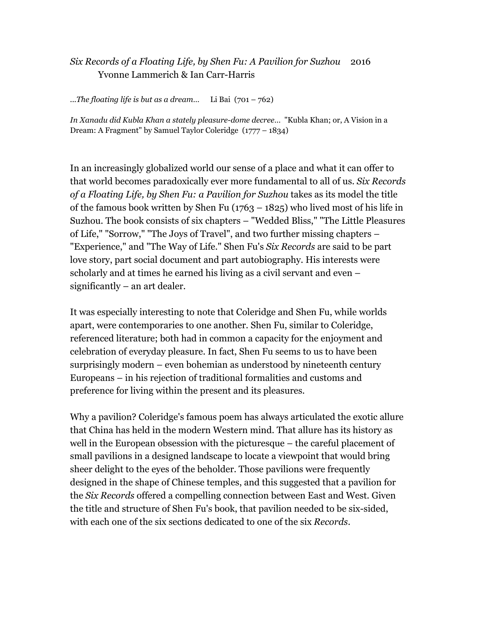## *Six Records of a Floating Life, by Shen Fu: A Pavilion for Suzhou* 2016 Yvonne Lammerich & Ian Carr-Harris

*...The floating life is but as a dream…* Li Bai (701 – 762)

*In Xanadu did Kubla Khan a stately pleasure-dome decree*… "Kubla Khan; or, A Vision in a Dream: A Fragment" by Samuel Taylor Coleridge (1777 – 1834)

In an increasingly globalized world our sense of a place and what it can offer to that world becomes paradoxically ever more fundamental to all of us. *Six Records of a Floating Life, by Shen Fu: a Pavilion for Suzhou* takes as its model the title of the famous book written by Shen Fu  $(1763 - 1825)$  who lived most of his life in Suzhou. The book consists of six chapters – "Wedded Bliss," "The Little Pleasures of Life," "Sorrow," "The Joys of Travel", and two further missing chapters – "Experience," and "The Way of Life." Shen Fu's *Six Records* are said to be part love story, part social document and part autobiography. His interests were scholarly and at times he earned his living as a civil servant and even – significantly – an art dealer.

It was especially interesting to note that Coleridge and Shen Fu, while worlds apart, were contemporaries to one another. Shen Fu, similar to Coleridge, referenced literature; both had in common a capacity for the enjoyment and celebration of everyday pleasure. In fact, Shen Fu seems to us to have been surprisingly modern – even bohemian as understood by nineteenth century Europeans – in his rejection of traditional formalities and customs and preference for living within the present and its pleasures.

Why a pavilion? Coleridge's famous poem has always articulated the exotic allure that China has held in the modern Western mind. That allure has its history as well in the European obsession with the picturesque – the careful placement of small pavilions in a designed landscape to locate a viewpoint that would bring sheer delight to the eyes of the beholder. Those pavilions were frequently designed in the shape of Chinese temples, and this suggested that a pavilion for the *Six Records* offered a compelling connection between East and West. Given the title and structure of Shen Fu's book, that pavilion needed to be six-sided, with each one of the six sections dedicated to one of the six *Records*.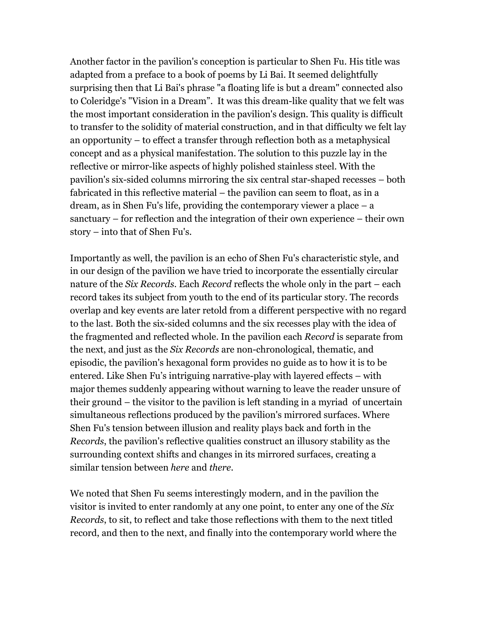Another factor in the pavilion's conception is particular to Shen Fu. His title was adapted from a preface to a book of poems by Li Bai. It seemed delightfully surprising then that Li Bai's phrase "a floating life is but a dream" connected also to Coleridge's "Vision in a Dream". It was this dream-like quality that we felt was the most important consideration in the pavilion's design. This quality is difficult to transfer to the solidity of material construction, and in that difficulty we felt lay an opportunity – to effect a transfer through reflection both as a metaphysical concept and as a physical manifestation. The solution to this puzzle lay in the reflective or mirror-like aspects of highly polished stainless steel. With the pavilion's six-sided columns mirroring the six central star-shaped recesses – both fabricated in this reflective material – the pavilion can seem to float, as in a dream, as in Shen Fu's life, providing the contemporary viewer a place – a sanctuary – for reflection and the integration of their own experience – their own story – into that of Shen Fu's.

Importantly as well, the pavilion is an echo of Shen Fu's characteristic style, and in our design of the pavilion we have tried to incorporate the essentially circular nature of the *Six Records*. Each *Record* reflects the whole only in the part – each record takes its subject from youth to the end of its particular story. The records overlap and key events are later retold from a different perspective with no regard to the last. Both the six-sided columns and the six recesses play with the idea of the fragmented and reflected whole. In the pavilion each *Record* is separate from the next, and just as the *Six Records* are non-chronological, thematic, and episodic, the pavilion's hexagonal form provides no guide as to how it is to be entered. Like Shen Fu's intriguing narrative-play with layered effects – with major themes suddenly appearing without warning to leave the reader unsure of their ground – the visitor to the pavilion is left standing in a myriad of uncertain simultaneous reflections produced by the pavilion's mirrored surfaces. Where Shen Fu's tension between illusion and reality plays back and forth in the *Records*, the pavilion's reflective qualities construct an illusory stability as the surrounding context shifts and changes in its mirrored surfaces, creating a similar tension between *here* and *there*.

We noted that Shen Fu seems interestingly modern, and in the pavilion the visitor is invited to enter randomly at any one point, to enter any one of the *Six Records*, to sit, to reflect and take those reflections with them to the next titled record, and then to the next, and finally into the contemporary world where the